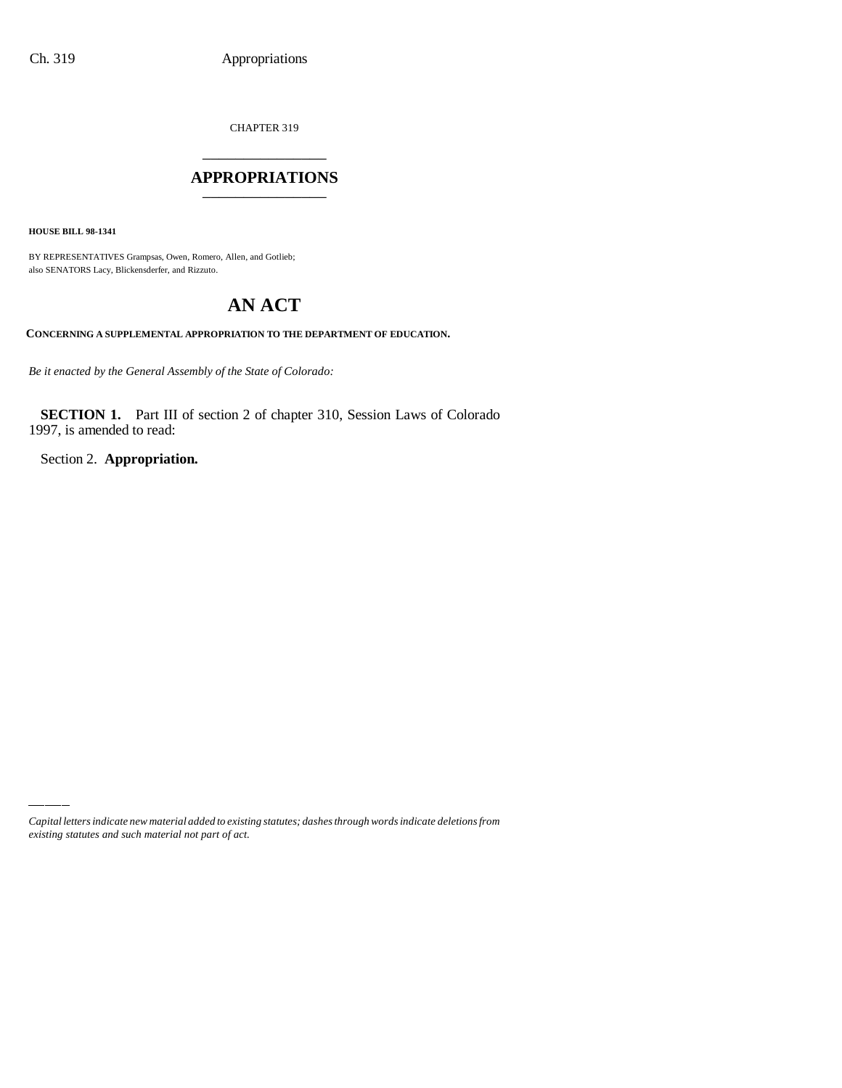CHAPTER 319

# \_\_\_\_\_\_\_\_\_\_\_\_\_\_\_ **APPROPRIATIONS** \_\_\_\_\_\_\_\_\_\_\_\_\_\_\_

**HOUSE BILL 98-1341**

BY REPRESENTATIVES Grampsas, Owen, Romero, Allen, and Gotlieb; also SENATORS Lacy, Blickensderfer, and Rizzuto.

# **AN ACT**

**CONCERNING A SUPPLEMENTAL APPROPRIATION TO THE DEPARTMENT OF EDUCATION.**

*Be it enacted by the General Assembly of the State of Colorado:*

**SECTION 1.** Part III of section 2 of chapter 310, Session Laws of Colorado 1997, is amended to read:

Section 2. **Appropriation.**

*Capital letters indicate new material added to existing statutes; dashes through words indicate deletions from existing statutes and such material not part of act.*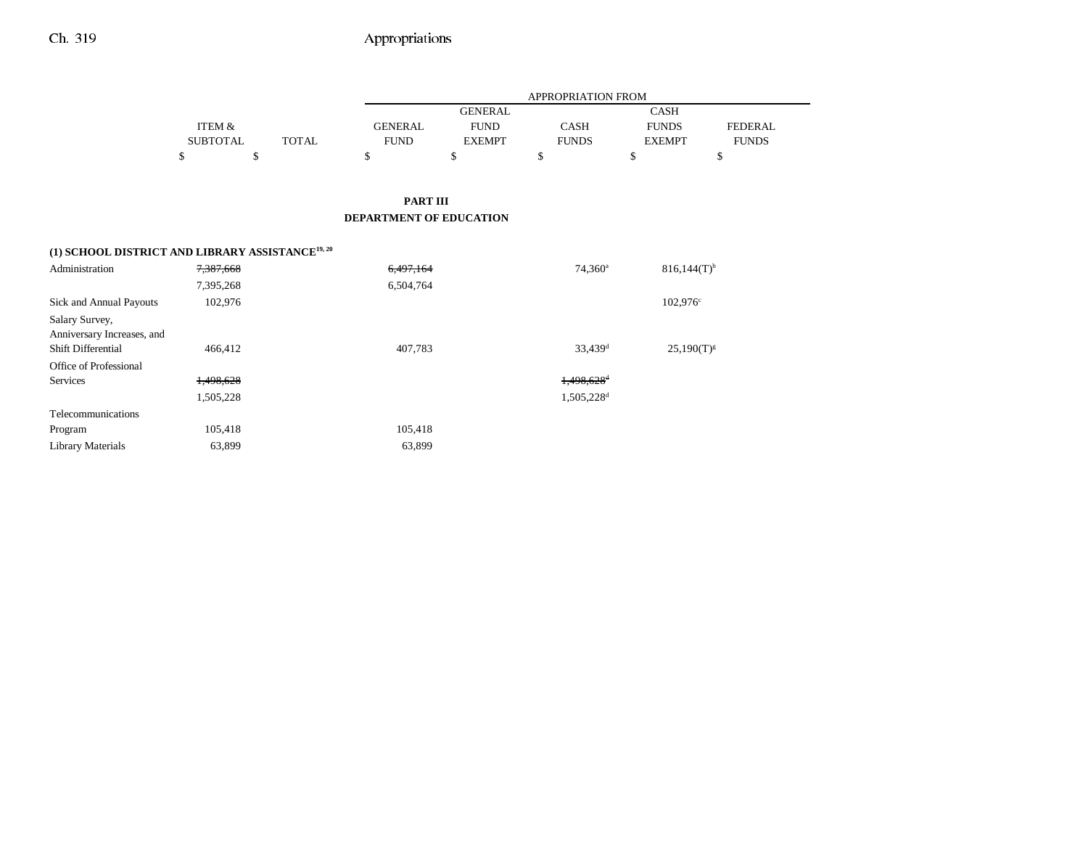|                                                              |                   |              |                         |                | <b>APPROPRIATION FROM</b> |                   |                |
|--------------------------------------------------------------|-------------------|--------------|-------------------------|----------------|---------------------------|-------------------|----------------|
|                                                              |                   |              |                         | <b>GENERAL</b> |                           | <b>CASH</b>       |                |
|                                                              | <b>ITEM &amp;</b> |              | <b>GENERAL</b>          | <b>FUND</b>    | <b>CASH</b>               | <b>FUNDS</b>      | <b>FEDERAL</b> |
|                                                              | <b>SUBTOTAL</b>   | <b>TOTAL</b> | <b>FUND</b>             | <b>EXEMPT</b>  | <b>FUNDS</b>              | <b>EXEMPT</b>     | <b>FUNDS</b>   |
|                                                              | \$                | \$           | \$                      | \$             | \$                        | \$                | \$             |
|                                                              |                   |              | <b>PART III</b>         |                |                           |                   |                |
|                                                              |                   |              | DEPARTMENT OF EDUCATION |                |                           |                   |                |
| (1) SCHOOL DISTRICT AND LIBRARY ASSISTANCE <sup>19, 20</sup> |                   |              |                         |                |                           |                   |                |
| Administration                                               | 7,387,668         |              | 6,497,164               |                | $74,360^a$                | $816,144(T)^{b}$  |                |
|                                                              | 7,395,268         |              | 6,504,764               |                |                           |                   |                |
| Sick and Annual Payouts                                      | 102,976           |              |                         |                |                           | $102,976^{\circ}$ |                |
| Salary Survey,                                               |                   |              |                         |                |                           |                   |                |
| Anniversary Increases, and                                   |                   |              |                         |                |                           |                   |                |
| Shift Differential                                           | 466,412           |              | 407,783                 |                | 33,439 <sup>d</sup>       | $25,190(T)^{g}$   |                |
| Office of Professional                                       |                   |              |                         |                |                           |                   |                |
| Services                                                     | 1,498,628         |              |                         |                | 1,498,628 <sup>d</sup>    |                   |                |
|                                                              | 1,505,228         |              |                         |                | 1,505,228 <sup>d</sup>    |                   |                |
| Telecommunications                                           |                   |              |                         |                |                           |                   |                |
| Program                                                      | 105,418           |              | 105,418                 |                |                           |                   |                |
| <b>Library Materials</b>                                     | 63,899            |              | 63,899                  |                |                           |                   |                |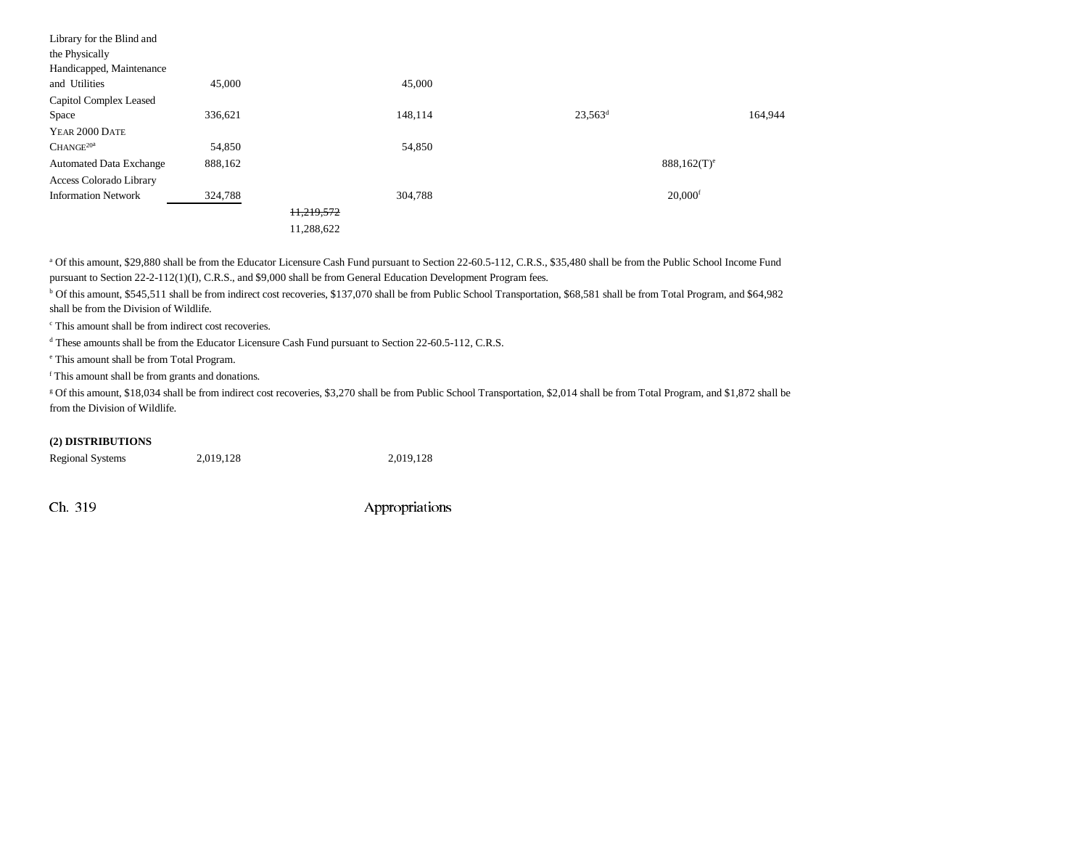| Library for the Blind and      |         |            |         |            |                           |         |
|--------------------------------|---------|------------|---------|------------|---------------------------|---------|
| the Physically                 |         |            |         |            |                           |         |
| Handicapped, Maintenance       |         |            |         |            |                           |         |
| and Utilities                  | 45,000  |            | 45,000  |            |                           |         |
| Capitol Complex Leased         |         |            |         |            |                           |         |
| Space                          | 336,621 |            | 148,114 | $23,563^d$ |                           | 164,944 |
| YEAR 2000 DATE                 |         |            |         |            |                           |         |
| $CHANGE^{20a}$                 | 54,850  |            | 54,850  |            |                           |         |
| <b>Automated Data Exchange</b> | 888,162 |            |         |            | $888,162(T)$ <sup>e</sup> |         |
| Access Colorado Library        |         |            |         |            |                           |         |
| <b>Information Network</b>     | 324,788 |            | 304,788 |            | $20,000$ <sup>f</sup>     |         |
|                                |         | 11,219,572 |         |            |                           |         |
|                                |         | 11,288,622 |         |            |                           |         |

<sup>a</sup> Of this amount, \$29,880 shall be from the Educator Licensure Cash Fund pursuant to Section 22-60.5-112, C.R.S., \$35,480 shall be from the Public School Income Fund pursuant to Section 22-2-112(1)(I), C.R.S., and \$9,000 shall be from General Education Development Program fees.

b Of this amount, \$545,511 shall be from indirect cost recoveries, \$137,070 shall be from Public School Transportation, \$68,581 shall be from Total Program, and \$64,982 shall be from the Division of Wildlife.

c This amount shall be from indirect cost recoveries.

d These amounts shall be from the Educator Licensure Cash Fund pursuant to Section 22-60.5-112, C.R.S.

e This amount shall be from Total Program.

f This amount shall be from grants and donations.

g Of this amount, \$18,034 shall be from indirect cost recoveries, \$3,270 shall be from Public School Transportation, \$2,014 shall be from Total Program, and \$1,872 shall be from the Division of Wildlife.

### **(2) DISTRIBUTIONS**

| <b>Regional Systems</b> | 2,019,128 | 2,019,128 |
|-------------------------|-----------|-----------|
|-------------------------|-----------|-----------|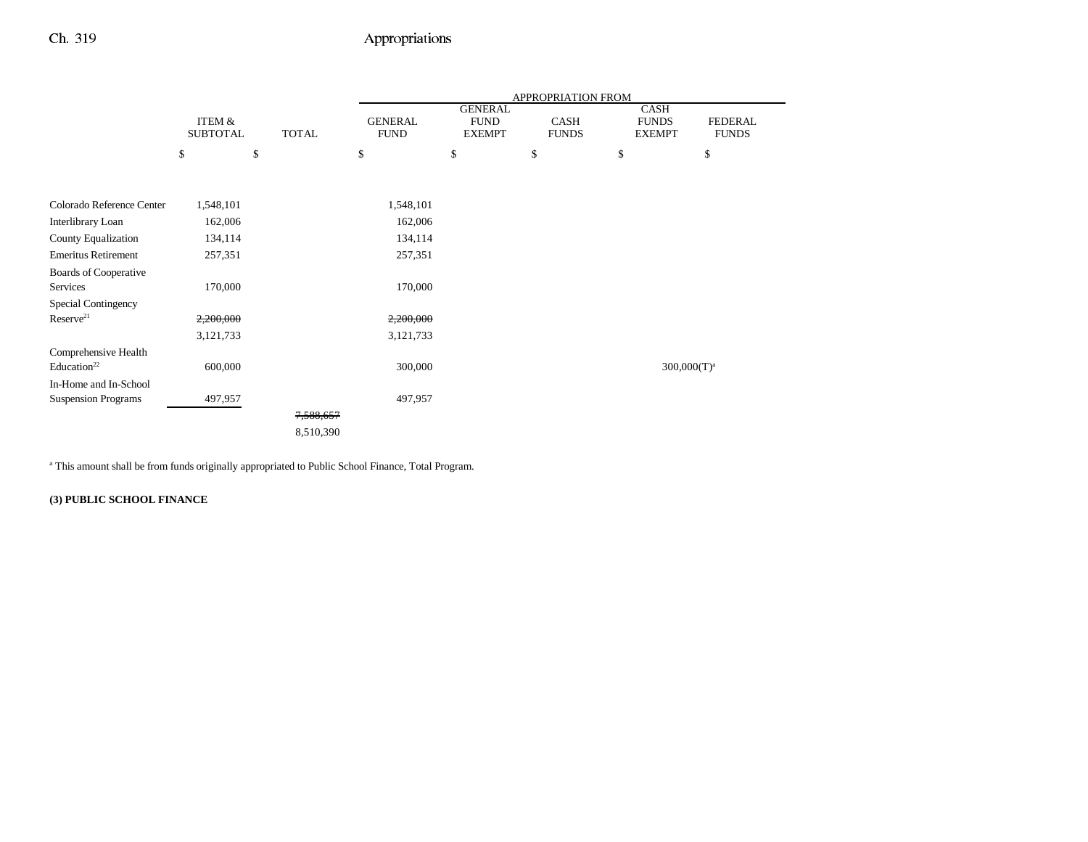|                            |                   |              | APPROPRIATION FROM |                               |              |                             |                |  |
|----------------------------|-------------------|--------------|--------------------|-------------------------------|--------------|-----------------------------|----------------|--|
|                            | <b>ITEM &amp;</b> |              | <b>GENERAL</b>     | <b>GENERAL</b><br><b>FUND</b> | <b>CASH</b>  | <b>CASH</b><br><b>FUNDS</b> | <b>FEDERAL</b> |  |
|                            | <b>SUBTOTAL</b>   | <b>TOTAL</b> | <b>FUND</b>        | <b>EXEMPT</b>                 | <b>FUNDS</b> | <b>EXEMPT</b>               | <b>FUNDS</b>   |  |
|                            | \$                | \$           | \$                 | \$                            | \$           | \$                          | \$             |  |
|                            |                   |              |                    |                               |              |                             |                |  |
| Colorado Reference Center  |                   |              |                    |                               |              |                             |                |  |
|                            | 1,548,101         |              | 1,548,101          |                               |              |                             |                |  |
| Interlibrary Loan          | 162,006           |              | 162,006            |                               |              |                             |                |  |
| County Equalization        | 134,114           |              | 134,114            |                               |              |                             |                |  |
| <b>Emeritus Retirement</b> | 257,351           |              | 257,351            |                               |              |                             |                |  |
| Boards of Cooperative      |                   |              |                    |                               |              |                             |                |  |
| Services                   | 170,000           |              | 170,000            |                               |              |                             |                |  |
| Special Contingency        |                   |              |                    |                               |              |                             |                |  |
| Reserve <sup>21</sup>      | 2,200,000         |              | 2,200,000          |                               |              |                             |                |  |
|                            | 3,121,733         |              | 3,121,733          |                               |              |                             |                |  |
| Comprehensive Health       |                   |              |                    |                               |              |                             |                |  |
| Education <sup>22</sup>    | 600,000           |              | 300,000            |                               |              |                             | $300,000(T)^a$ |  |
| In-Home and In-School      |                   |              |                    |                               |              |                             |                |  |
| <b>Suspension Programs</b> | 497,957           |              | 497,957            |                               |              |                             |                |  |
|                            |                   | 7,588,657    |                    |                               |              |                             |                |  |
|                            |                   | 8,510,390    |                    |                               |              |                             |                |  |

a This amount shall be from funds originally appropriated to Public School Finance, Total Program.

**(3) PUBLIC SCHOOL FINANCE**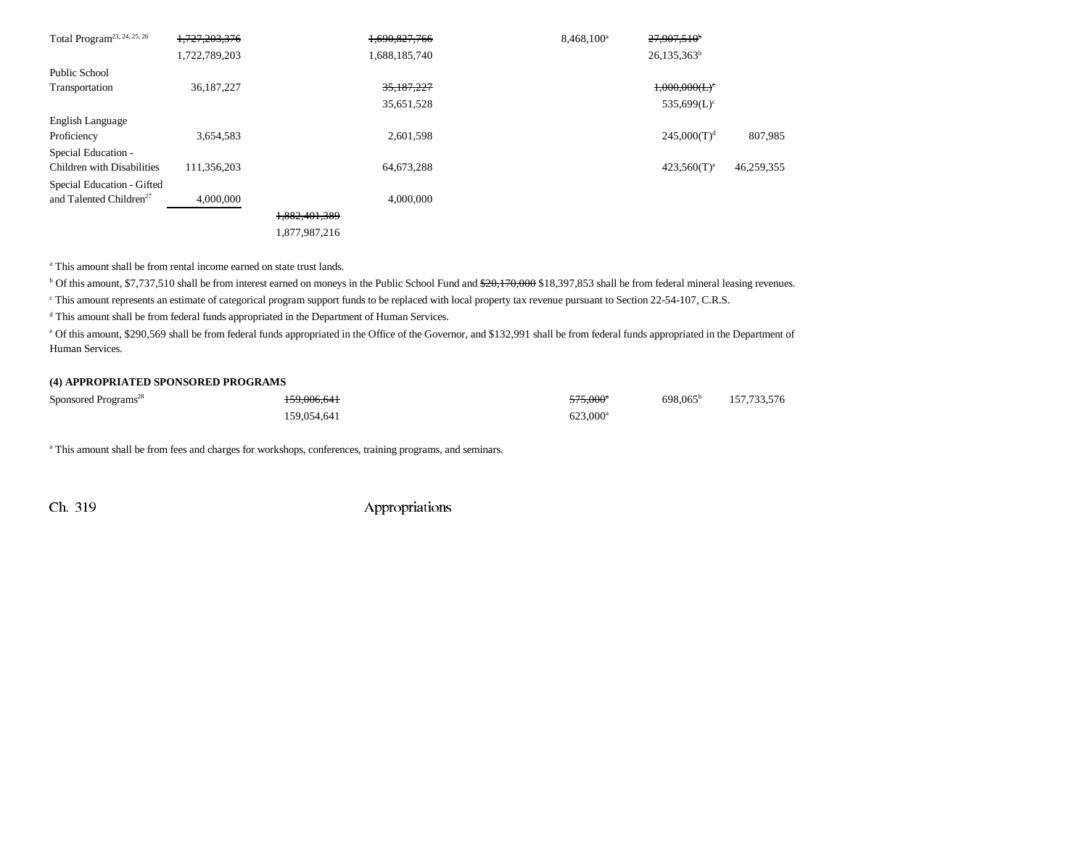| Total Program <sup>23, 24, 25, 26</sup> | 1,727,203,376 |               | 1.690.827.766 | 8,468,100 <sup>a</sup> | $27,907,510$ <sup>*</sup>    |            |
|-----------------------------------------|---------------|---------------|---------------|------------------------|------------------------------|------------|
|                                         | 1,722,789,203 |               | 1,688,185,740 |                        | $26,135,363^b$               |            |
| Public School                           |               |               |               |                        |                              |            |
| Transportation                          | 36, 187, 227  |               | 35,187,227    |                        | $1,000,000$ (L) <sup>c</sup> |            |
|                                         |               |               | 35,651,528    |                        | 535,699 $(L)$ <sup>c</sup>   |            |
| English Language                        |               |               |               |                        |                              |            |
| Proficiency                             | 3,654,583     |               | 2,601,598     |                        | 245,000(T) <sup>d</sup>      | 807,985    |
| Special Education -                     |               |               |               |                        |                              |            |
| Children with Disabilities              | 111,356,203   |               | 64,673,288    |                        | $423,560(T)^e$               | 46,259,355 |
| Special Education - Gifted              |               |               |               |                        |                              |            |
| and Talented Children <sup>27</sup>     | 4,000,000     |               | 4,000,000     |                        |                              |            |
|                                         |               | 1.882.401.389 |               |                        |                              |            |
|                                         |               | 1,877,987,216 |               |                        |                              |            |

a This amount shall be from rental income earned on state trust lands.

<sup>b</sup> Of this amount, \$7,737,510 shall be from interest earned on moneys in the Public School Fund and \$20,170,000 \$18,397,853 shall be from federal mineral leasing revenues.

c This amount represents an estimate of categorical program support funds to be replaced with local property tax revenue pursuant to Section 22-54-107, C.R.S.

d This amount shall be from federal funds appropriated in the Department of Human Services.

e Of this amount, \$290,569 shall be from federal funds appropriated in the Office of the Governor, and \$132,991 shall be from federal funds appropriated in the Department of Human Services.

#### **(4) APPROPRIATED SPONSORED PROGRAMS**

| Sponsored Programs <sup>28</sup> | 159,006,641 | $575.000^{\circ}$    | $698.065^{\rm b}$ | 157,733,576 |
|----------------------------------|-------------|----------------------|-------------------|-------------|
|                                  | 159.054.641 | 623,000 <sup>a</sup> |                   |             |

a This amount shall be from fees and charges for workshops, conferences, training programs, and seminars.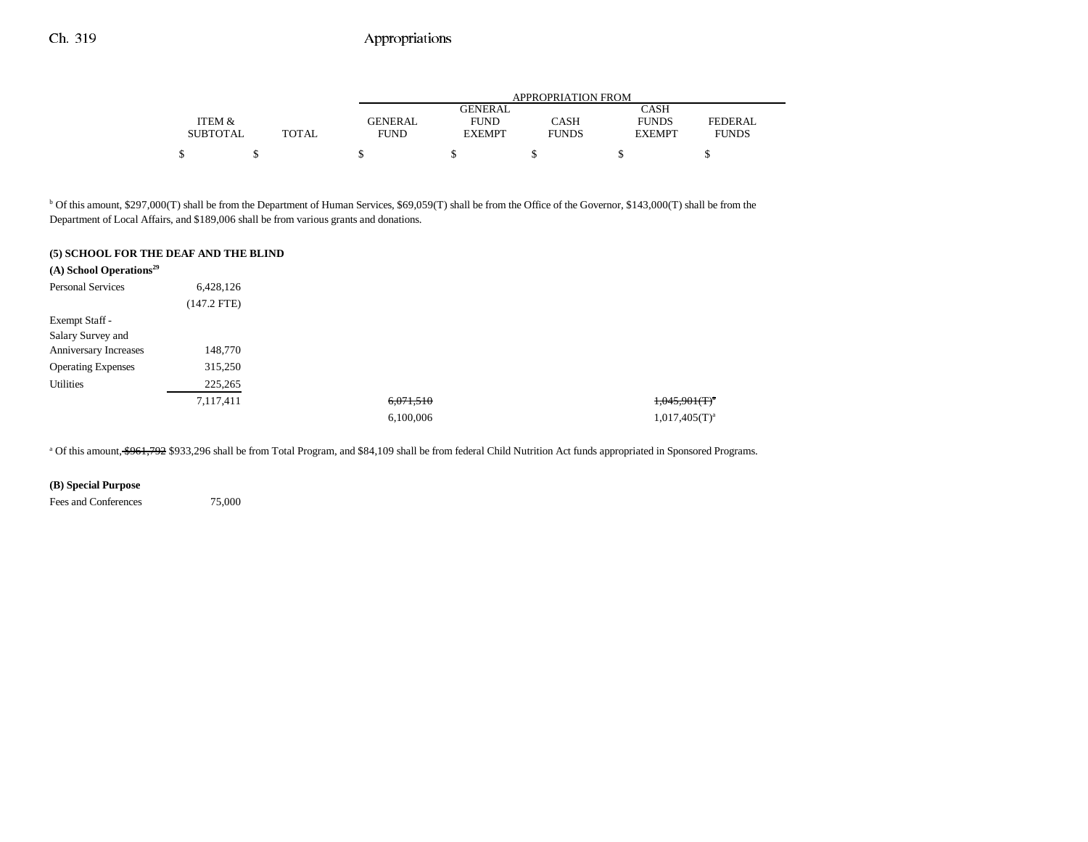|                 |              |                | APPROPRIATION FROM |              |               |                |  |  |  |
|-----------------|--------------|----------------|--------------------|--------------|---------------|----------------|--|--|--|
|                 |              |                | <b>GENERAL</b>     |              | <b>CASH</b>   |                |  |  |  |
| ITEM &          |              | <b>GENERAL</b> | <b>FUND</b>        | CASH         | <b>FUNDS</b>  | <b>FEDERAL</b> |  |  |  |
| <b>SUBTOTAL</b> | <b>TOTAL</b> | <b>FUND</b>    | <b>EXEMPT</b>      | <b>FUNDS</b> | <b>EXEMPT</b> | <b>FUNDS</b>   |  |  |  |
| ሖ               |              |                |                    |              |               |                |  |  |  |

<sup>b</sup> Of this amount, \$297,000(T) shall be from the Department of Human Services, \$69,059(T) shall be from the Office of the Governor, \$143,000(T) shall be from the Department of Local Affairs, and \$189,006 shall be from various grants and donations.

#### **(5) SCHOOL FOR THE DEAF AND THE BLIND**

| $(A)$ School Operations <sup>29</sup> |               |           |                         |
|---------------------------------------|---------------|-----------|-------------------------|
| <b>Personal Services</b>              | 6,428,126     |           |                         |
|                                       | $(147.2$ FTE) |           |                         |
| Exempt Staff -                        |               |           |                         |
| Salary Survey and                     |               |           |                         |
| Anniversary Increases                 | 148,770       |           |                         |
| <b>Operating Expenses</b>             | 315,250       |           |                         |
| <b>Utilities</b>                      | 225,265       |           |                         |
|                                       | 7,117,411     | 6,071,510 | $1,045,901$ $($ T $)^a$ |
|                                       |               | 6,100,006 | $1,017,405(T)^a$        |

<sup>a</sup> Of this amount, \$961,792 \$933,296 shall be from Total Program, and \$84,109 shall be from federal Child Nutrition Act funds appropriated in Sponsored Programs.

### **(B) Special Purpose**

Fees and Conferences 75,000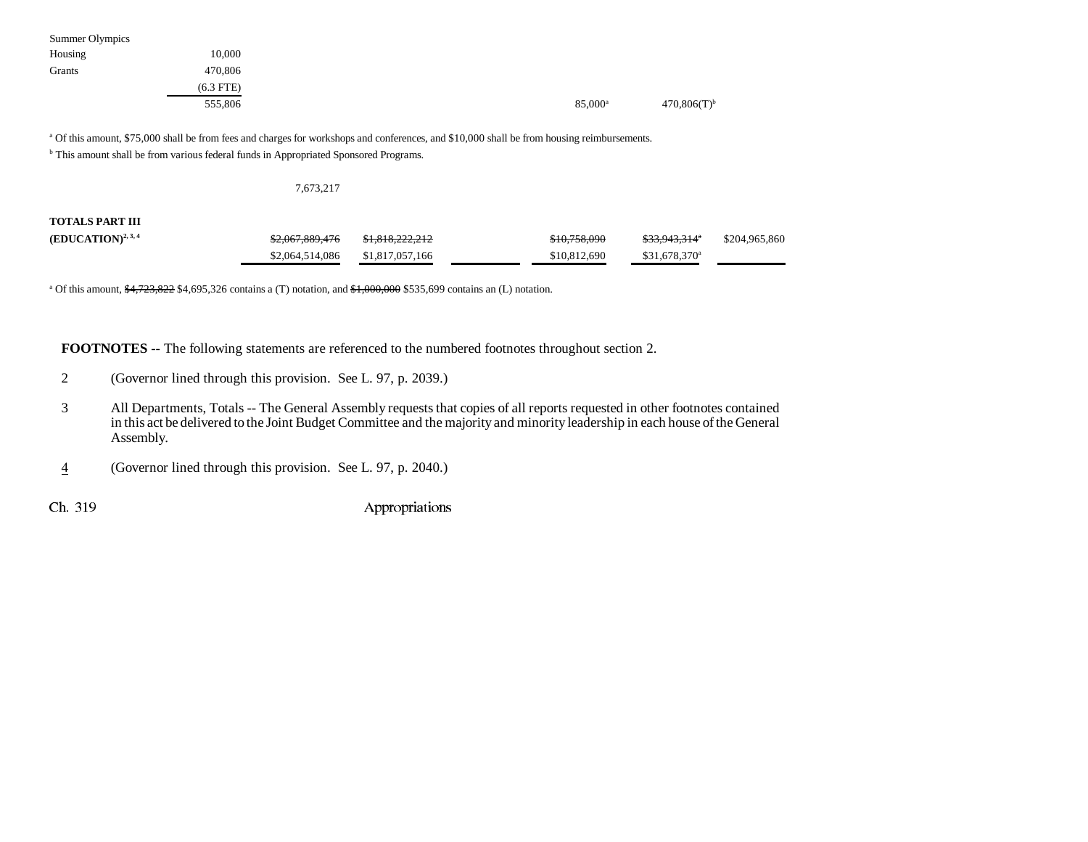| Summer Olympics |             |                     |                           |
|-----------------|-------------|---------------------|---------------------------|
| Housing         | 10,000      |                     |                           |
| Grants          | 470,806     |                     |                           |
|                 | $(6.3$ FTE) |                     |                           |
|                 | 555,806     | 85,000 <sup>a</sup> | $470,806(T)$ <sup>b</sup> |

<sup>a</sup> Of this amount, \$75,000 shall be from fees and charges for workshops and conferences, and \$10,000 shall be from housing reimbursements.

**b** This amount shall be from various federal funds in Appropriated Sponsored Programs.

#### 7,673,217

**TOTALS PART III**

| $(EDUCATION)^{2,3,4}$ | \$2,067,889,476 | <del>\$1.818.222.212</del> | \$10,758,090 | <del>\$33,943,314</del> * | \$204,965,860 |
|-----------------------|-----------------|----------------------------|--------------|---------------------------|---------------|
|                       | \$2,064,514,086 | \$1,817,057,166            | \$10,812,690 | $$31.678.370^a$           |               |

<sup>a</sup> Of this amount,  $\frac{4,723,822}{84,695,326}$  contains a (T) notation, and  $\frac{4,000,000}{8}$  \$535,699 contains an (L) notation.

**FOOTNOTES** -- The following statements are referenced to the numbered footnotes throughout section 2.

- 2 (Governor lined through this provision. See L. 97, p. 2039.)
- 3 All Departments, Totals -- The General Assembly requests that copies of all reports requested in other footnotes contained in this act be delivered to the Joint Budget Committee and the majority and minority leadership in each house of the General Assembly.
- 4(Governor lined through this provision. See L. 97, p. 2040.)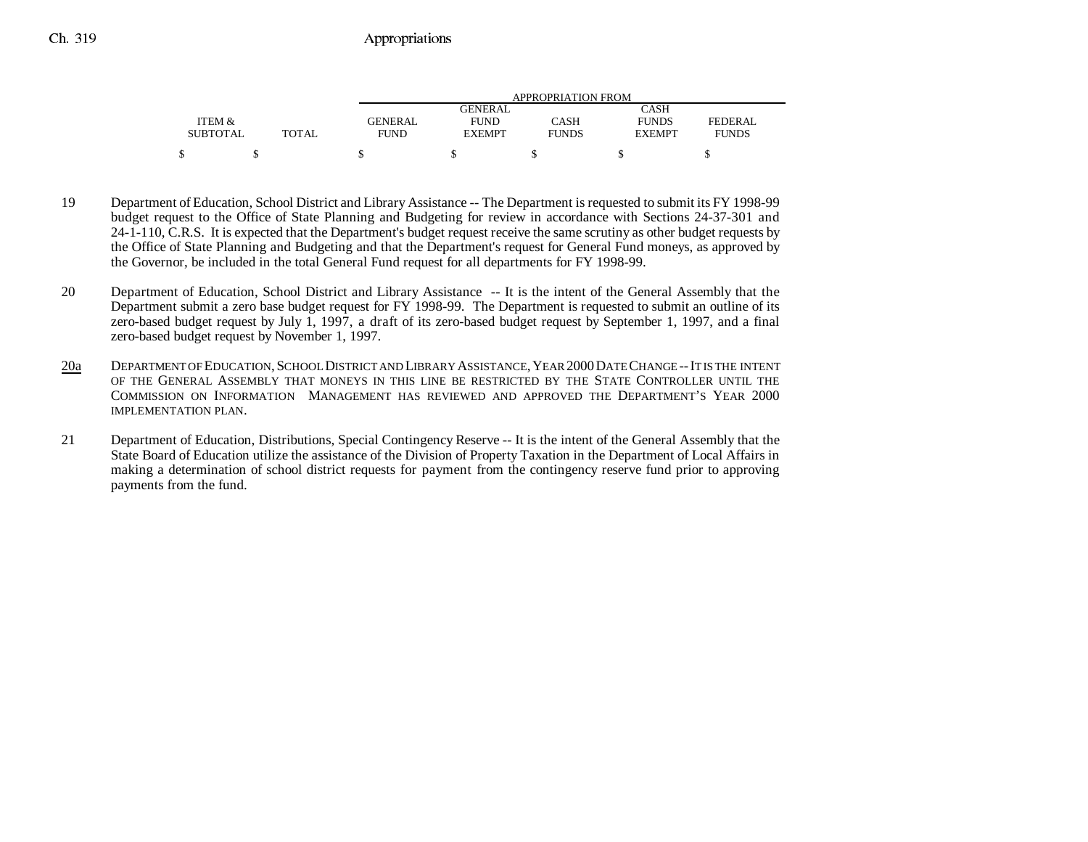|                 |       |                | APPROPRIATION FROM |              |               |              |  |  |  |
|-----------------|-------|----------------|--------------------|--------------|---------------|--------------|--|--|--|
|                 |       |                | GENERAL            |              | CASH          |              |  |  |  |
| ITEM &          |       | <b>GENERAL</b> | <b>FUND</b>        | CASH         | <b>FUNDS</b>  | FEDERAL      |  |  |  |
| <b>SUBTOTAL</b> | TOTAL | <b>FUND</b>    | <b>EXEMPT</b>      | <b>FUNDS</b> | <b>EXEMPT</b> | <b>FUNDS</b> |  |  |  |
| ¢               |       |                |                    |              |               |              |  |  |  |

- 19 Department of Education, School District and Library Assistance -- The Department is requested to submit its FY 1998-99 budget request to the Office of State Planning and Budgeting for review in accordance with Sections 24-37-301 and 24-1-110, C.R.S. It is expected that the Department's budget request receive the same scrutiny as other budget requests by the Office of State Planning and Budgeting and that the Department's request for General Fund moneys, as approved by the Governor, be included in the total General Fund request for all departments for FY 1998-99.
- 20 Department of Education, School District and Library Assistance -- It is the intent of the General Assembly that the Department submit a zero base budget request for FY 1998-99. The Department is requested to submit an outline of its zero-based budget request by July 1, 1997, a draft of its zero-based budget request by September 1, 1997, and a final zero-based budget request by November 1, 1997.
- 20a DEPARTMENT OF EDUCATION,SCHOOL DISTRICT AND LIBRARY ASSISTANCE,YEAR 2000DATE CHANGE --IT IS THE INTENT OF THE GENERAL ASSEMBLY THAT MONEYS IN THIS LINE BE RESTRICTED BY THE STATE CONTROLLER UNTIL THECOMMISSION ON INFORMATION MANAGEMENT HAS REVIEWED AND APPROVED THE DEPARTMENT'S YEAR 2000IMPLEMENTATION PLAN.
- 21 Department of Education, Distributions, Special Contingency Reserve -- It is the intent of the General Assembly that the State Board of Education utilize the assistance of the Division of Property Taxation in the Department of Local Affairs in making a determination of school district requests for payment from the contingency reserve fund prior to approving payments from the fund.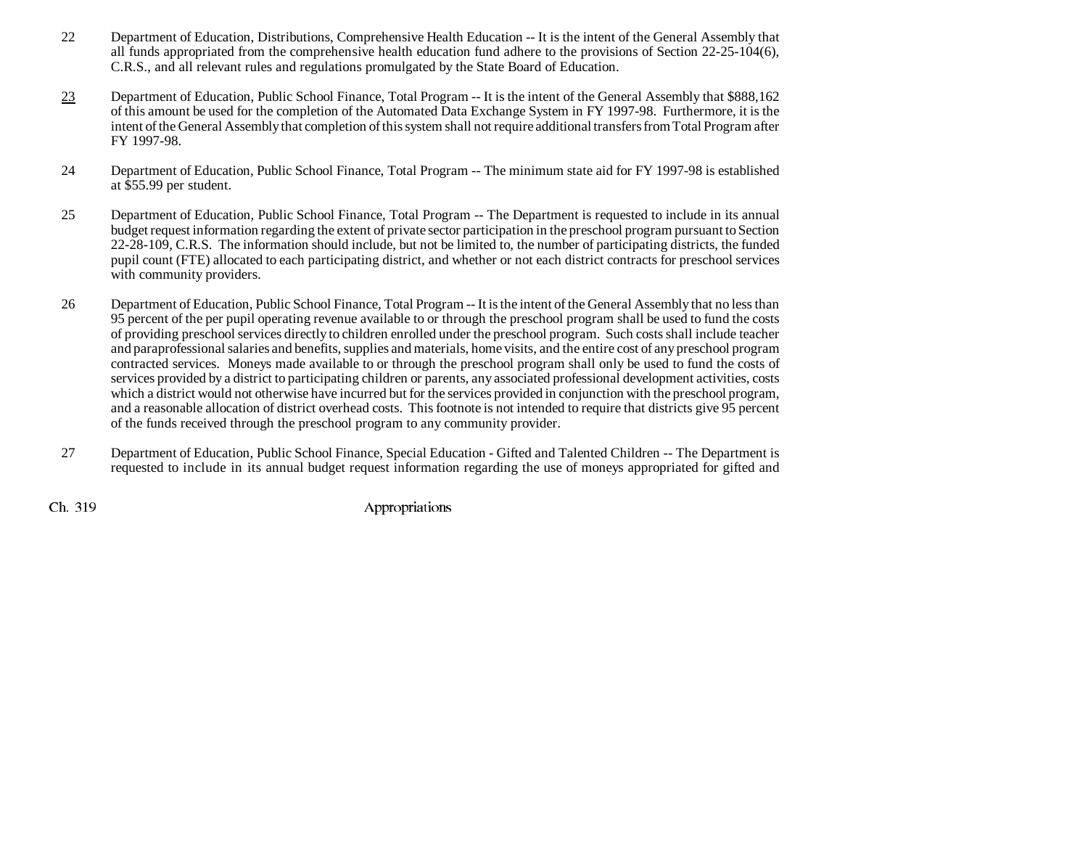- 22 Department of Education, Distributions, Comprehensive Health Education -- It is the intent of the General Assembly that all funds appropriated from the comprehensive health education fund adhere to the provisions of Section 22-25-104(6), C.R.S., and all relevant rules and regulations promulgated by the State Board of Education.
- 23 Department of Education, Public School Finance, Total Program -- It is the intent of the General Assembly that \$888,162 of this amount be used for the completion of the Automated Data Exchange System in FY 1997-98. Furthermore, it is the intent of the General Assembly that completion of this system shall not require additional transfers from Total Program after FY 1997-98.
- 24 Department of Education, Public School Finance, Total Program -- The minimum state aid for FY 1997-98 is established at \$55.99 per student.
- 25 Department of Education, Public School Finance, Total Program -- The Department is requested to include in its annual budget request information regarding the extent of private sector participation in the preschool program pursuant to Section 22-28-109, C.R.S. The information should include, but not be limited to, the number of participating districts, the funded pupil count (FTE) allocated to each participating district, and whether or not each district contracts for preschool services with community providers.
- 26 Department of Education, Public School Finance, Total Program -- It is the intent of the General Assembly that no less than 95 percent of the per pupil operating revenue available to or through the preschool program shall be used to fund the costs of providing preschool services directly to children enrolled under the preschool program. Such costs shall include teacher and paraprofessional salaries and benefits, supplies and materials, home visits, and the entire cost of any preschool program contracted services. Moneys made available to or through the preschool program shall only be used to fund the costs of services provided by a district to participating children or parents, any associated professional development activities, costs which a district would not otherwise have incurred but for the services provided in conjunction with the preschool program, and a reasonable allocation of district overhead costs. This footnote is not intended to require that districts give 95 percent of the funds received through the preschool program to any community provider.
- 27 Department of Education, Public School Finance, Special Education Gifted and Talented Children -- The Department is requested to include in its annual budget request information regarding the use of moneys appropriated for gifted and